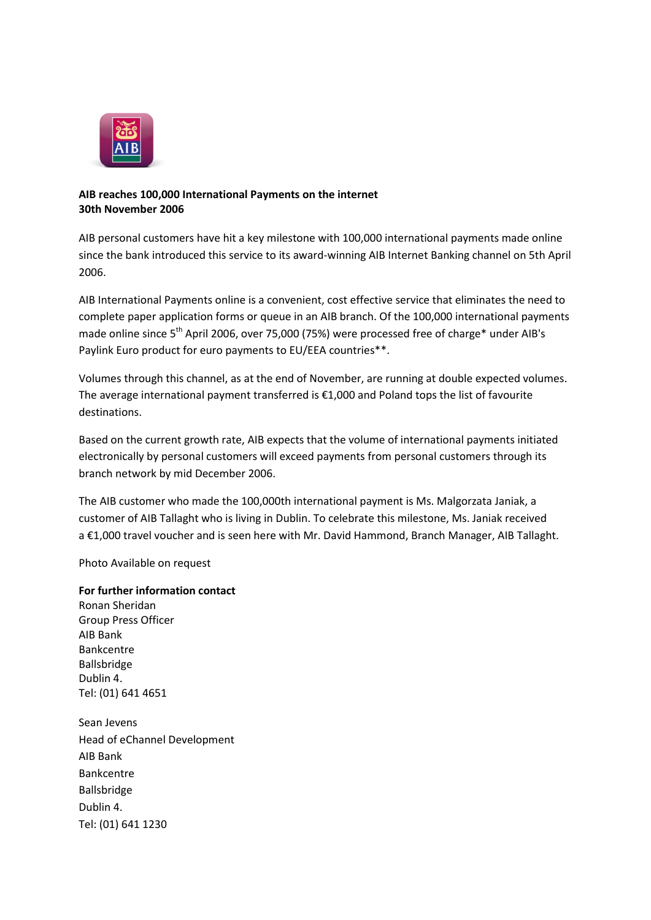

## **AIB reaches 100,000 International Payments on the internet 30th November 2006**

AIB personal customers have hit a key milestone with 100,000 international payments made online since the bank introduced this service to its award-winning AIB Internet Banking channel on 5th April 2006.

AIB International Payments online is a convenient, cost effective service that eliminates the need to complete paper application forms or queue in an AIB branch. Of the 100,000 international payments made online since 5<sup>th</sup> April 2006, over 75,000 (75%) were processed free of charge\* under AIB's Paylink Euro product for euro payments to EU/EEA countries\*\*.

Volumes through this channel, as at the end of November, are running at double expected volumes. The average international payment transferred is  $£1,000$  and Poland tops the list of favourite destinations.

Based on the current growth rate, AIB expects that the volume of international payments initiated electronically by personal customers will exceed payments from personal customers through its branch network by mid December 2006.

The AIB customer who made the 100,000th international payment is Ms. Malgorzata Janiak, a customer of AIB Tallaght who is living in Dublin. To celebrate this milestone, Ms. Janiak received a €1,000 travel voucher and is seen here with Mr. David Hammond, Branch Manager, AIB Tallaght.

Photo Available on request

**For further information contact** Ronan Sheridan Group Press Officer AIB Bank Bankcentre Ballsbridge Dublin 4. Tel: (01) 641 4651 Sean Jevens Head of eChannel Development AIB Bank Bankcentre Ballsbridge Dublin 4. Tel: (01) 641 1230